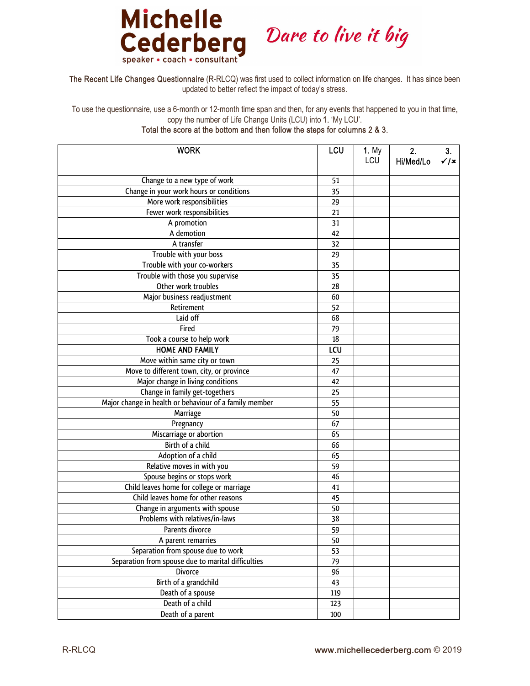

## Dare to live it big

The Recent Life Changes Questionnaire (R-RLCQ) was first used to collect information on life changes. It has since been updated to better reflect the impact of today's stress.

To use the questionnaire, use a 6-month or 12-month time span and then, for any events that happened to you in that time, copy the number of Life Change Units (LCU) into 1. 'My LCU'.

Total the score at the bottom and then follow the steps for columns 2 & 3.

| <b>WORK</b>                                            | LCU | <b>1.</b> My<br>LCU | 2.<br>Hi/Med/Lo | 3 <sub>1</sub><br>$\checkmark$ / $\checkmark$ |
|--------------------------------------------------------|-----|---------------------|-----------------|-----------------------------------------------|
| Change to a new type of work                           | 51  |                     |                 |                                               |
| Change in your work hours or conditions                | 35  |                     |                 |                                               |
| More work responsibilities                             | 29  |                     |                 |                                               |
| Fewer work responsibilities                            | 21  |                     |                 |                                               |
| A promotion                                            | 31  |                     |                 |                                               |
| A demotion                                             | 42  |                     |                 |                                               |
| A transfer                                             | 32  |                     |                 |                                               |
| Trouble with your boss                                 | 29  |                     |                 |                                               |
| Trouble with your co-workers                           | 35  |                     |                 |                                               |
| Trouble with those you supervise                       | 35  |                     |                 |                                               |
| Other work troubles                                    | 28  |                     |                 |                                               |
| Major business readjustment                            | 60  |                     |                 |                                               |
| Retirement                                             | 52  |                     |                 |                                               |
| Laid off                                               | 68  |                     |                 |                                               |
| Fired                                                  | 79  |                     |                 |                                               |
| Took a course to help work                             | 18  |                     |                 |                                               |
| <b>HOME AND FAMILY</b>                                 | LCU |                     |                 |                                               |
| Move within same city or town                          | 25  |                     |                 |                                               |
| Move to different town, city, or province              | 47  |                     |                 |                                               |
| Major change in living conditions                      | 42  |                     |                 |                                               |
| Change in family get-togethers                         | 25  |                     |                 |                                               |
| Major change in health or behaviour of a family member | 55  |                     |                 |                                               |
| Marriage                                               | 50  |                     |                 |                                               |
| Pregnancy                                              | 67  |                     |                 |                                               |
| Miscarriage or abortion                                | 65  |                     |                 |                                               |
| Birth of a child                                       | 66  |                     |                 |                                               |
| Adoption of a child                                    | 65  |                     |                 |                                               |
| Relative moves in with you                             | 59  |                     |                 |                                               |
| Spouse begins or stops work                            | 46  |                     |                 |                                               |
| Child leaves home for college or marriage              | 41  |                     |                 |                                               |
| Child leaves home for other reasons                    | 45  |                     |                 |                                               |
| Change in arguments with spouse                        | 50  |                     |                 |                                               |
| Problems with relatives/in-laws                        | 38  |                     |                 |                                               |
| Parents divorce                                        | 59  |                     |                 |                                               |
| A parent remarries                                     | 50  |                     |                 |                                               |
| Separation from spouse due to work                     | 53  |                     |                 |                                               |
| Separation from spouse due to marital difficulties     | 79  |                     |                 |                                               |
| <b>Divorce</b>                                         | 96  |                     |                 |                                               |
| Birth of a grandchild                                  | 43  |                     |                 |                                               |
| Death of a spouse                                      | 119 |                     |                 |                                               |
| Death of a child                                       | 123 |                     |                 |                                               |
| Death of a parent                                      | 100 |                     |                 |                                               |